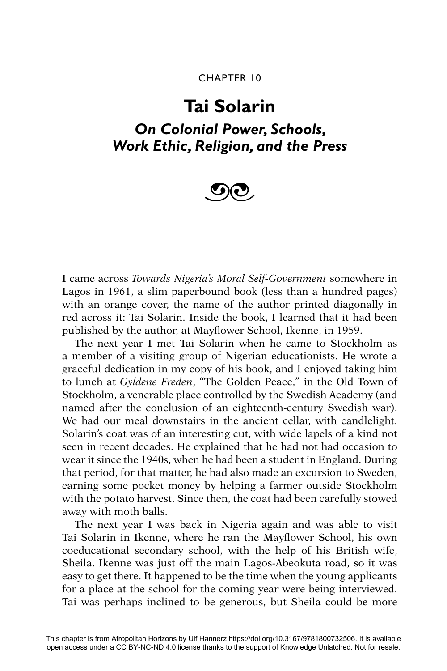### CHAPTER 10

# **Tai Solarin**

## *On Colonial Power, Schools, Work Ethic, Religion, and the Press*



I came across *Towards Nigeria's Moral Self-Government* somewhere in Lagos in 1961, a slim paperbound book (less than a hundred pages) with an orange cover, the name of the author printed diagonally in red across it: Tai Solarin. Inside the book, I learned that it had been published by the author, at Mayflower School, Ikenne, in 1959.

The next year I met Tai Solarin when he came to Stockholm as a member of a visiting group of Nigerian educationists. He wrote a graceful dedication in my copy of his book, and I enjoyed taking him to lunch at *Gyldene Freden*, "The Golden Peace," in the Old Town of Stockholm, a venerable place controlled by the Swedish Academy (and named after the conclusion of an eighteenth-century Swedish war). We had our meal downstairs in the ancient cellar, with candlelight. Solarin's coat was of an interesting cut, with wide lapels of a kind not seen in recent decades. He explained that he had not had occasion to wear it since the 1940s, when he had been a student in England. During that period, for that matter, he had also made an excursion to Sweden, earning some pocket money by helping a farmer outside Stockholm with the potato harvest. Since then, the coat had been carefully stowed away with moth balls.

The next year I was back in Nigeria again and was able to visit Tai Solarin in Ikenne, where he ran the Mayflower School, his own coeducational secondary school, with the help of his British wife, Sheila. Ikenne was just off the main Lagos-Abeokuta road, so it was easy to get there. It happened to be the time when the young applicants for a place at the school for the coming year were being interviewed. Tai was perhaps inclined to be generous, but Sheila could be more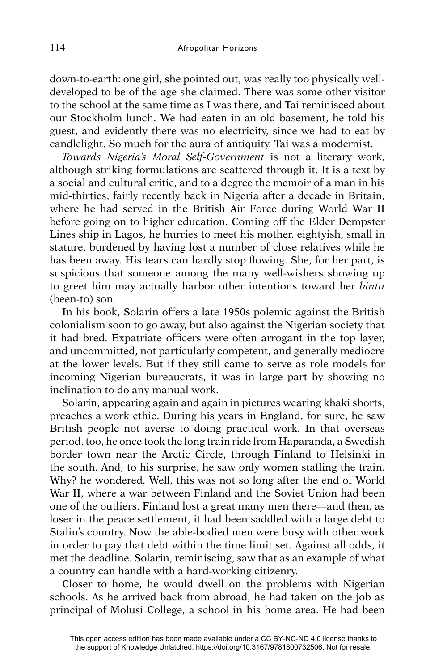down-to-earth: one girl, she pointed out, was really too physically welldeveloped to be of the age she claimed. There was some other visitor to the school at the same time as I was there, and Tai reminisced about our Stockholm lunch. We had eaten in an old basement, he told his guest, and evidently there was no electricity, since we had to eat by candlelight. So much for the aura of antiquity. Tai was a modernist.

*Towards Nigeria's Moral Self-Government* is not a literary work, although striking formulations are scattered through it. It is a text by a social and cultural critic, and to a degree the memoir of a man in his mid-thirties, fairly recently back in Nigeria after a decade in Britain, where he had served in the British Air Force during World War II before going on to higher education. Coming off the Elder Dempster Lines ship in Lagos, he hurries to meet his mother, eightyish, small in stature, burdened by having lost a number of close relatives while he has been away. His tears can hardly stop flowing. She, for her part, is suspicious that someone among the many well-wishers showing up to greet him may actually harbor other intentions toward her *bintu*  (been-to) son.

In his book, Solarin offers a late 1950s polemic against the British colonialism soon to go away, but also against the Nigerian society that it had bred. Expatriate officers were often arrogant in the top layer, and uncommitted, not particularly competent, and generally mediocre at the lower levels. But if they still came to serve as role models for incoming Nigerian bureaucrats, it was in large part by showing no inclination to do any manual work.

Solarin, appearing again and again in pictures wearing khaki shorts, preaches a work ethic. During his years in England, for sure, he saw British people not averse to doing practical work. In that overseas period, too, he once took the long train ride from Haparanda, a Swedish border town near the Arctic Circle, through Finland to Helsinki in the south. And, to his surprise, he saw only women staffing the train. Why? he wondered. Well, this was not so long after the end of World War II, where a war between Finland and the Soviet Union had been one of the outliers. Finland lost a great many men there—and then, as loser in the peace settlement, it had been saddled with a large debt to Stalin's country. Now the able-bodied men were busy with other work in order to pay that debt within the time limit set. Against all odds, it met the deadline. Solarin, reminiscing, saw that as an example of what a country can handle with a hard-working citizenry.

Closer to home, he would dwell on the problems with Nigerian schools. As he arrived back from abroad, he had taken on the job as principal of Molusi College, a school in his home area. He had been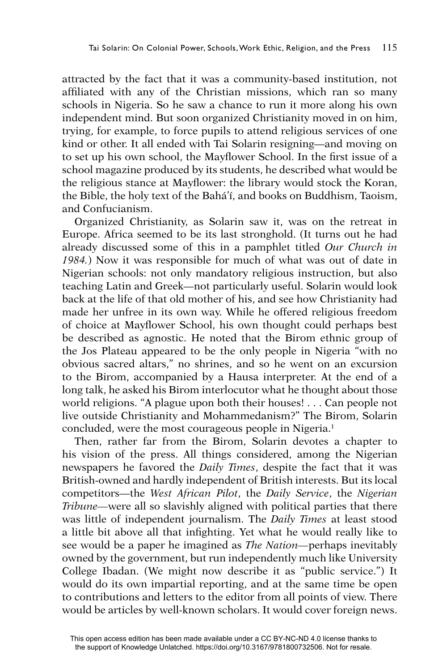attracted by the fact that it was a community-based institution, not affiliated with any of the Christian missions, which ran so many schools in Nigeria. So he saw a chance to run it more along his own independent mind. But soon organized Christianity moved in on him, trying, for example, to force pupils to attend religious services of one kind or other. It all ended with Tai Solarin resigning—and moving on to set up his own school, the Mayflower School. In the first issue of a school magazine produced by its students, he described what would be the religious stance at Mayflower: the library would stock the Koran, the Bible, the holy text of the Bahá'í, and books on Buddhism, Taoism, and Confucianism.

Organized Christianity, as Solarin saw it, was on the retreat in Europe. Africa seemed to be its last stronghold. (It turns out he had already discussed some of this in a pamphlet titled *Our Church in 1984.*) Now it was responsible for much of what was out of date in Nigerian schools: not only mandatory religious instruction, but also teaching Latin and Greek—not particularly useful. Solarin would look back at the life of that old mother of his, and see how Christianity had made her unfree in its own way. While he offered religious freedom of choice at Mayflower School, his own thought could perhaps best be described as agnostic. He noted that the Birom ethnic group of the Jos Plateau appeared to be the only people in Nigeria "with no obvious sacred altars," no shrines, and so he went on an excursion to the Birom, accompanied by a Hausa interpreter. At the end of a long talk, he asked his Birom interlocutor what he thought about those world religions. "A plague upon both their houses! . . . Can people not live outside Christianity and Mohammedanism?" The Birom, Solarin concluded, were the most courageous people in Nigeria.<sup>1</sup>

Then, rather far from the Birom, Solarin devotes a chapter to his vision of the press. All things considered, among the Nigerian newspapers he favored the *Daily Times*, despite the fact that it was British-owned and hardly independent of British interests. But its local competitors—the *West African Pilot*, the *Daily Service*, the *Nigerian Tribune—*were all so slavishly aligned with political parties that there was little of independent journalism. The *Daily Times* at least stood a little bit above all that infighting. Yet what he would really like to see would be a paper he imagined as *The Nation—*perhaps inevitably owned by the government, but run independently much like University College Ibadan. (We might now describe it as "public service.") It would do its own impartial reporting, and at the same time be open to contributions and letters to the editor from all points of view. There would be articles by well-known scholars. It would cover foreign news.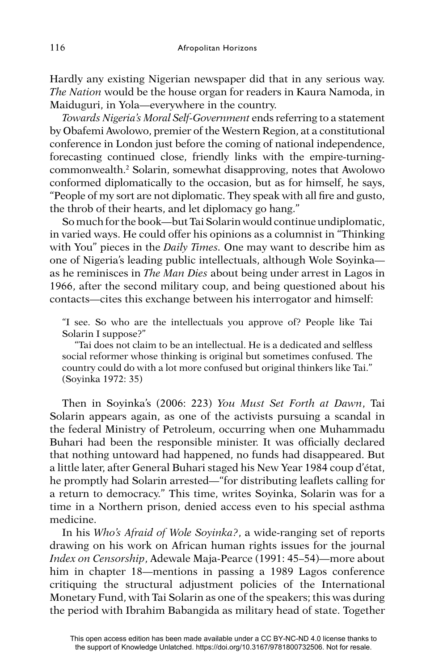Hardly any existing Nigerian newspaper did that in any serious way. *The Nation* would be the house organ for readers in Kaura Namoda, in Maiduguri, in Yola—everywhere in the country.

*Towards Nigeria's Moral Self-Government* ends referring to a statement by Obafemi Awolowo, premier of the Western Region, at a constitutional conference in London just before the coming of national independence, forecasting continued close, friendly links with the empire-turningcommonwealth.2 Solarin, somewhat disapproving, notes that Awolowo conformed diplomatically to the occasion, but as for himself, he says, "People of my sort are not diplomatic. They speak with all fire and gusto, the throb of their hearts, and let diplomacy go hang."

So much for the book—but Tai Solarin would continue undiplomatic, in varied ways. He could offer his opinions as a columnist in "Thinking with You" pieces in the *Daily Times.* One may want to describe him as one of Nigeria's leading public intellectuals, although Wole Soyinka as he reminisces in *The Man Dies* about being under arrest in Lagos in 1966, after the second military coup, and being questioned about his contacts—cites this exchange between his interrogator and himself:

"I see. So who are the intellectuals you approve of? People like Tai Solarin I suppose?"

"Tai does not claim to be an intellectual. He is a dedicated and selfless social reformer whose thinking is original but sometimes confused. The country could do with a lot more confused but original thinkers like Tai." (Soyinka 1972: 35)

Then in Soyinka's (2006: 223) *You Must Set Forth at Dawn*, Tai Solarin appears again, as one of the activists pursuing a scandal in the federal Ministry of Petroleum, occurring when one Muhammadu Buhari had been the responsible minister. It was officially declared that nothing untoward had happened, no funds had disappeared. But a little later, after General Buhari staged his New Year 1984 coup d'état, he promptly had Solarin arrested—"for distributing leaflets calling for a return to democracy." This time, writes Soyinka, Solarin was for a time in a Northern prison, denied access even to his special asthma medicine.

In his *Who's Afraid of Wole Soyinka?*, a wide-ranging set of reports drawing on his work on African human rights issues for the journal *Index on Censorship*, Adewale Maja-Pearce (1991: 45–54)—more about him in chapter 18—mentions in passing a 1989 Lagos conference critiquing the structural adjustment policies of the International Monetary Fund, with Tai Solarin as one of the speakers; this was during the period with Ibrahim Babangida as military head of state. Together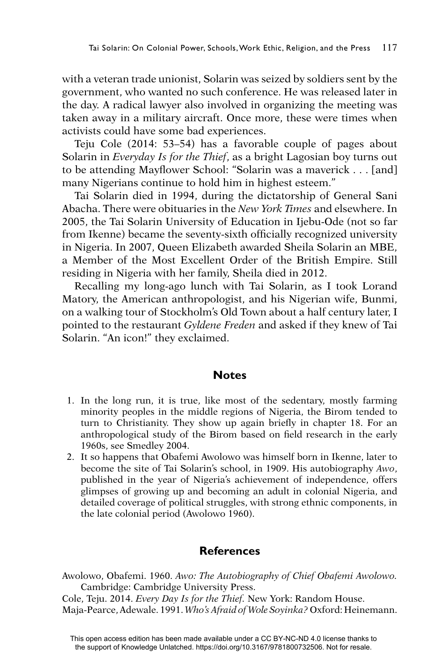with a veteran trade unionist, Solarin was seized by soldiers sent by the government, who wanted no such conference. He was released later in the day. A radical lawyer also involved in organizing the meeting was taken away in a military aircraft. Once more, these were times when activists could have some bad experiences.

Teju Cole (2014: 53–54) has a favorable couple of pages about Solarin in *Everyday Is for the Thief*, as a bright Lagosian boy turns out to be attending Mayflower School: "Solarin was a maverick . . . [and] many Nigerians continue to hold him in highest esteem."

Tai Solarin died in 1994, during the dictatorship of General Sani Abacha. There were obituaries in the *New York Times* and elsewhere. In 2005, the Tai Solarin University of Education in Ijebu-Ode (not so far from Ikenne) became the seventy-sixth officially recognized university in Nigeria. In 2007, Queen Elizabeth awarded Sheila Solarin an MBE, a Member of the Most Excellent Order of the British Empire. Still residing in Nigeria with her family, Sheila died in 2012.

Recalling my long-ago lunch with Tai Solarin, as I took Lorand Matory, the American anthropologist, and his Nigerian wife, Bunmi, on a walking tour of Stockholm's Old Town about a half century later, I pointed to the restaurant *Gyldene Freden* and asked if they knew of Tai Solarin. "An icon!" they exclaimed.

#### **Notes**

- 1. In the long run, it is true, like most of the sedentary, mostly farming minority peoples in the middle regions of Nigeria, the Birom tended to turn to Christianity. They show up again briefly in chapter 18. For an anthropological study of the Birom based on field research in the early 1960s, see Smedley 2004.
- 2. It so happens that Obafemi Awolowo was himself born in Ikenne, later to become the site of Tai Solarin's school, in 1909. His autobiography *Awo*, published in the year of Nigeria's achievement of independence, offers glimpses of growing up and becoming an adult in colonial Nigeria, and detailed coverage of political struggles, with strong ethnic components, in the late colonial period (Awolowo 1960).

### **References**

Awolowo, Obafemi. 1960. *Awo: The Autobiography of Chief Obafemi Awolowo.*  Cambridge: Cambridge University Press.

Cole, Teju. 2014. *Every Day Is for the Thief.* New York: Random House. Maja-Pearce, Adewale. 1991. *Who's Afraid of Wole Soyinka?* Oxford: Heinemann.